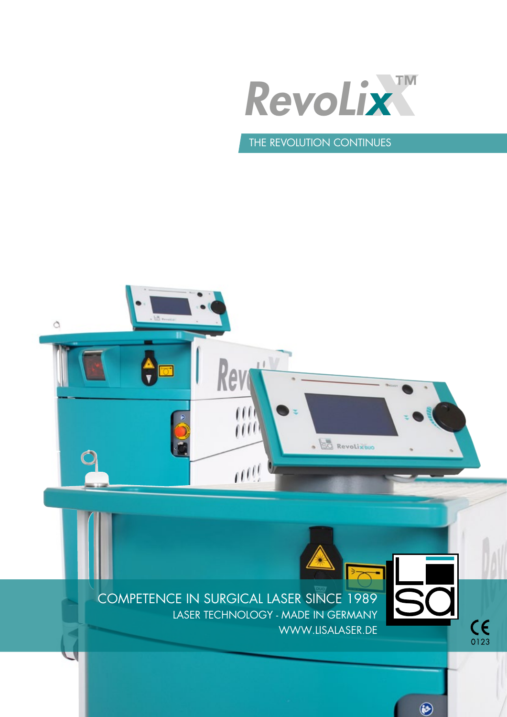

# THE REVOLUTION CONTINUES

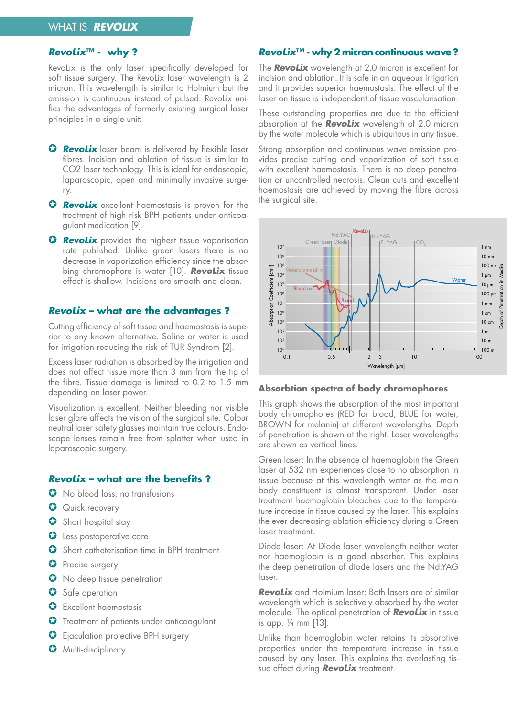### **RevoLix™ - why ?**

RevoLix is the only laser specifically developed for soft tissue surgery. The RevoLix laser wavelength is 2 micron. This wavelength is similar to Holmium but the emission is continuous instead of pulsed. RevoLix unifies the advantages of formerly existing surgical laser principles in a single unit:

- **G** Revolix laser beam is delivered by flexible laser fibres. Incision and ablation of tissue is similar to CO2 laser technology. This is ideal for endoscopic, laparoscopic, open and minimally invasive surgery.
- **G Revolix** excellent haemostasis is proven for the treatment of high risk BPH patients under anticoagulant medication [9].
- **G** Revolix provides the highest tissue vaporisation rate published. Unlike green lasers there is no decrease in vaporization efficiency since the absorbing chromophore is water [10]. **RevoLix** tissue effect is shallow. Incisions are smooth and clean.

### **RevoLix – what are the advantages ?**

Cutting efficiency of soft tissue and haemostasis is superior to any known alternative. Saline or water is used for irrigation reducing the risk of TUR Syndrom [2].

Excess laser radiation is absorbed by the irrigation and does not affect tissue more than 3 mm from the tip of the fibre. Tissue damage is limited to 0.2 to 1.5 mm depending on laser power.

Visualization is excellent. Neither bleeding nor visible laser glare affects the vision of the surgical site. Colour neutral laser safety glasses maintain true colours. Endoscope lenses remain free from splatter when used in laparoscopic surgery.

### **RevoLix – what are the benefits ?**

- **G** No blood loss, no transfusions
- **J** Quick recovery
- $\bullet$  Short hospital stay
- **J** Less postoperative care
- Short catheterisation time in BPH treatment
- **O** Precise surgery
- $\bullet$  No deep tissue penetration
- Safe operation
- $\bullet$  Excellent haemostasis
- **G** Treatment of patients under anticoagulant
- G Ejaculation protective BPH surgery
- **G** Multi-disciplinary

## **RevoLix™ - why 2 micron continuous wave ?**

The **RevoLix** wavelength at 2.0 micron is excellent for incision and ablation. It is safe in an aqueous irrigation and it provides superior haemostasis. The effect of the laser on tissue is independent of tissue vascularisation.

These outstanding properties are due to the efficient absorption at the **RevoLix** wavelength of 2.0 micron by the water molecule which is ubiquitous in any tissue.

Strong absorption and continuous wave emission provides precise cutting and vaporization of soft tissue with excellent haemostasis. There is no deep penetration or uncontrolled necrosis. Clean cuts and excellent haemostasis are achieved by moving the fibre across the surgical site.



#### **Absorbtion spectra of body chromophores**

This graph shows the absorption of the most important body chromophores (RED for blood, BLUE for water, BROWN for melanin) at different wavelengths. Depth of penetration is shown at the right. Laser wavelengths are shown as vertical lines.

Green laser: In the absence of haemoglobin the Green laser at 532 nm experiences close to no absorption in tissue because at this wavelength water as the main body constituent is almost transparent. Under laser treatment haemoglobin bleaches due to the temperature increase in tissue caused by the laser. This explains the ever decreasing ablation efficiency during a Green laser treatment.

Diode laser: At Diode laser wavelength neither water nor haemoglobin is a good absorber. This explains the deep penetration of diode lasers and the Nd:YAG laser.

**RevoLix** and Holmium laser: Both lasers are of similar wavelength which is selectively absorbed by the water molecule. The optical penetration of **RevoLix** in tissue is app. ¼ mm [13].

Unlike than haemoglobin water retains its absorptive properties under the temperature increase in tissue caused by any laser. This explains the everlasting tissue effect during **RevoLix** treatment.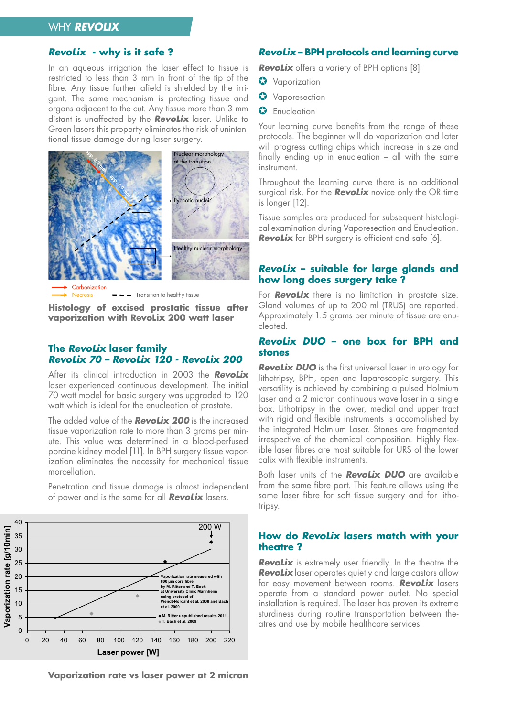# WHY **REVOLIX**

### **RevoLix - why is it safe ?**

In an aqueous irrigation the laser effect to tissue is restricted to less than 3 mm in front of the tip of the fibre. Any tissue further afield is shielded by the irrigant. The same mechanism is protecting tissue and organs adjacent to the cut. Any tissue more than 3 mm distant is unaffected by the **RevoLix** laser. Unlike to Green lasers this property eliminates the risk of unintentional tissue damage during laser surgery.  $\bullet$  morphology  $\bullet$ **a**<br>**b** dam



 $- -$  Transition to healthy tissue Necrosis

Histology of excised prostatic tissue after vaporization with RevoLix 200 watt laser

#### **The RevoLix laser family RevoLix 70 – RevoLix 120 - RevoLix 200**

After its clinical introduction in 2003 the **RevoLix** laser experienced continuous development. The initial 70 watt model for basic surgery was upgraded to 120 watt which is ideal for the enucleation of prostate.

The added value of the **RevoLix 200** is the increased tissue vaporization rate to more than 3 grams per minute. This value was determined in a blood-perfused porcine kidney model [11]. In BPH surgery tissue vaporization eliminates the necessity for mechanical tissue morcellation.

 $\Omega$ 5 10 15 20 25 30 35 40 0 20 40 60 80 100 120 140 160 180 200 220 **M. Ritter III T. Bach et al. 2009 Vaporization rate measured with 800 µm core fibre by M. Ritter and T. Bach University Clinic Manufacturer**<br> **at University Clinic Manufacturer using protocol of Wendt-Nordahl et al. 2008 and Bach et al. 2009** 200 W

**Vaporization rate [g/10min]**

Vaporization rate [g/10min]

**Laser power [W]**

Penetration and tissue damage is almost independent of power and is the same for all **RevoLix** lasers.

#### **RevoLix – BPH protocols and learning curve**

**RevoLix** offers a variety of BPH options [8]:

- **O** Vaporization
- **J** Vaporesection
- **O** Enucleation

Your learning curve benefits from the range of these protocols. The beginner will do vaporization and later will progress cutting chips which increase in size and finally ending up in enucleation – all with the same instrument.

Throughout the learning curve there is no additional surgical risk. For the **RevoLix** novice only the OR time is longer [12].

Tissue samples are produced for subsequent histological examination during Vaporesection and Enucleation. **RevoLix** for BPH surgery is efficient and safe [6].

## **RevoLix – suitable for large glands and how long does surgery take ?**

For **RevoLix** there is no limitation in prostate size. Gland volumes of up to 200 ml (TRUS) are reported. Approximately 1.5 grams per minute of tissue are enucleated.

#### **RevoLix DUO – one box for BPH and stones**

**RevoLix DUO** is the first universal laser in urology for lithotripsy, BPH, open and laparoscopic surgery. This versatility is achieved by combining a pulsed Holmium laser and a 2 micron continuous wave laser in a single box. Lithotripsy in the lower, medial and upper tract with rigid and flexible instruments is accomplished by the integrated Holmium Laser. Stones are fragmented irrespective of the chemical composition. Highly flexible laser fibres are most suitable for URS of the lower calix with flexible instruments.

Both laser units of the **RevoLix DUO** are available from the same fibre port. This feature allows using the same laser fibre for soft tissue surgery and for lithotripsy.

### **How do RevoLix lasers match with your theatre ?**

**RevoLix** is extremely user friendly. In the theatre the **RevoLix** laser operates quietly and large castors allow for easy movement between rooms. **RevoLix** lasers operate from a standard power outlet. No special installation is required. The laser has proven its extreme sturdiness during routine transportation between theatres and use by mobile healthcare services.

**Vaporization rate vs laser power at 2 micron**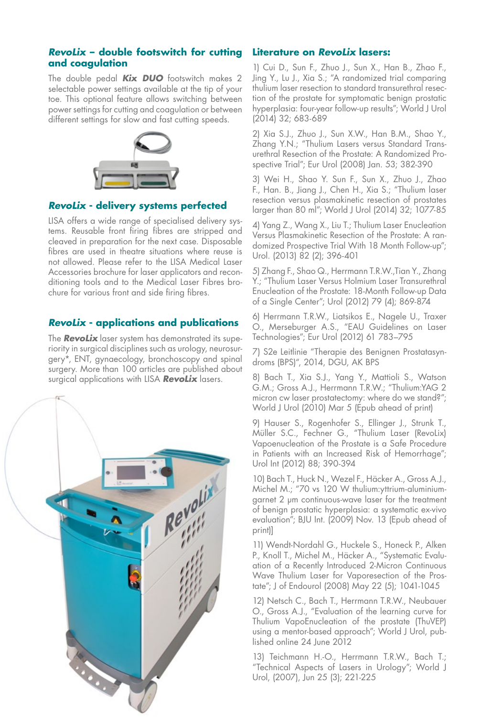## **RevoLix – double footswitch for cutting and coagulation**

The double pedal **Kix DUO** footswitch makes 2 selectable power settings available at the tip of your toe. This optional feature allows switching between power settings for cutting and coagulation or between different settings for slow and fast cutting speeds.



# **RevoLix - delivery systems perfected**

LISA offers a wide range of specialised delivery systems. Reusable front firing fibres are stripped and cleaved in preparation for the next case. Disposable fibres are used in theatre situations where reuse is not allowed. Please refer to the LISA Medical Laser Accessories brochure for laser applicators and reconditioning tools and to the Medical Laser Fibres brochure for various front and side firing fibres.

# **RevoLix - applications and publications**

The **RevoLix** laser system has demonstrated its superiority in surgical disciplines such as urology, neurosurgery\*, ENT, gynaecology, bronchoscopy and spinal surgery. More than 100 articles are published about surgical applications with LISA **RevoLix** lasers.



# **Literature on RevoLix lasers:**

1) Cui D., Sun F., Zhuo J., Sun X., Han B., Zhao F., Jing Y., Lu J., Xia S.; "A randomized trial comparing thulium laser resection to standard transurethral resection of the prostate for symptomatic benign prostatic hyperplasia: four-year follow-up results"; World J Urol (2014) 32; 683-689

2) Xia S.J., Zhuo J., Sun X.W., Han B.M., Shao Y., Zhang Y.N.; "Thulium Lasers versus Standard Transurethral Resection of the Prostate: A Randomized Prospective Trial"; Eur Urol (2008) Jan. 53; 382-390

3) Wei H., Shao Y. Sun F., Sun X., Zhuo J., Zhao F., Han. B., Jiang J., Chen H., Xia S.; "Thulium laser resection versus plasmakinetic resection of prostates larger than 80 ml"; World J Urol (2014) 32; 1077-85

4) Yang Z., Wang X., Liu T.; Thulium Laser Enucleation Versus Plasmakinetic Resection of the Prostate: A randomized Prospective Trial With 18 Month Follow-up"; Urol. (2013) 82 (2); 396-401

5) Zhang F., Shao Q., Herrmann T.R.W.,Tian Y., Zhang Y.; "Thulium Laser Versus Holmium Laser Transurethral Enucleation of the Prostate: 18-Month Follow-up Data of a Single Center"; Urol (2012) 79 (4); 869-874

6) Herrmann T.R.W., Liatsikos E., Nagele U., Traxer O., Merseburger A.S., "EAU Guidelines on Laser Technologies"; Eur Urol (2012) 61 783–795

7) S2e Leitlinie "Therapie des Benignen Prostatasyndroms (BPS)", 2014, DGU, AK BPS

8) Bach T., Xia S.J., Yang Y., Mattioli S., Watson G.M.; Gross A.J., Herrmann T.R.W.; "Thulium:YAG 2 micron cw laser prostatectomy: where do we stand?"; World J Urol (2010) Mar 5 (Epub ahead of print)

9) Hauser S., Rogenhofer S., Ellinger J., Strunk T., Müller S.C., Fechner G., "Thulium Laser (RevoLix) Vapoenucleation of the Prostate is a Safe Procedure in Patients with an Increased Risk of Hemorrhage"; Urol Int (2012) 88; 390-394

10) Bach T., Huck N., Wezel F., Häcker A., Gross A.J., Michel M.; "70 vs 120 W thulium:yttrium-aluminiumgarnet 2 µm continuous-wave laser for the treatment of benign prostatic hyperplasia: a systematic ex-vivo evaluation"; BJU Int. (2009) Nov. 13 (Epub ahead of print)]

11) Wendt-Nordahl G., Huckele S., Honeck P., Alken P., Knoll T., Michel M., Häcker A., "Systematic Evaluation of a Recently Introduced 2-Micron Continuous Wave Thulium Laser for Vaporesection of the Prostate"; J of Endourol (2008) May 22 (5); 1041-1045

12) Netsch C., Bach T., Herrmann T.R.W., Neubauer O., Gross A.J., "Evaluation of the learning curve for Thulium VapoEnucleation of the prostate (ThuVEP) using a mentor-based approach"; World J Urol, published online 24 June 2012

13) Teichmann H.-O., Herrmann T.R.W., Bach T.; "Technical Aspects of Lasers in Urology"; World J Urol, (2007), Jun 25 (3); 221-225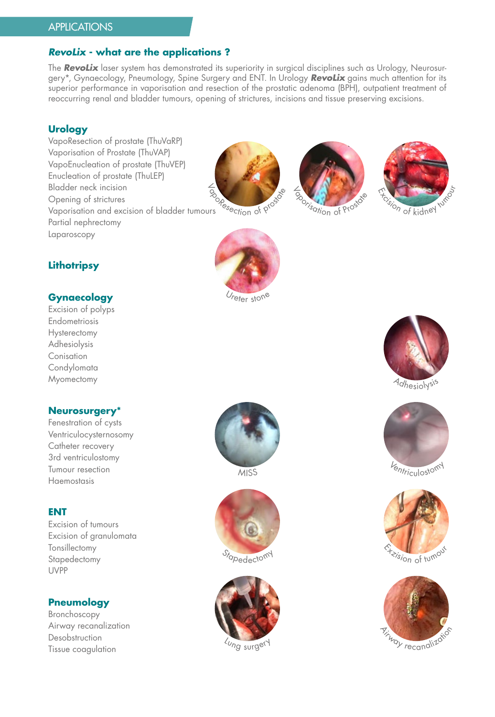# **APPLICATIONS**

# **RevoLix - what are the applications ?**

The **RevoLix** laser system has demonstrated its superiority in surgical disciplines such as Urology, Neurosurgery\*, Gynaecology, Pneumology, Spine Surgery and ENT. In Urology **RevoLix** gains much attention for its superior performance in vaporisation and resection of the prostatic adenoma (BPH), outpatient treatment of reoccurring renal and bladder tumours, opening of strictures, incisions and tissue preserving excisions.

## **Urology**

VapoResection of prostate (ThuVaRP) Vaporisation of Prostate (ThuVAP) VapoEnucleation of prostate (ThuVEP) Enucleation of prostate (ThuLEP) Bladder neck incision Opening of strictures Vaporisation and excision of bladder tumours Partial nephrectomy Laparoscopy



Ireter stone





# **Lithotripsy**

# **Gynaecology**

Excision of polyps Endometriosis **Hysterectomy** Adhesiolysis Conisation **Condylomata Myomectomy** 

# **Neurosurgery\***

Fenestration of cysts Ventriculocysternosomy Catheter recovery 3rd ventriculostomy Tumour resection Haemostasis

### **ENT**

Excision of tumours Excision of granulomata Tonsillectomy Stapedectomy UVPP

## **Pneumology**

Bronchoscopy Airway recanalization Desobstruction Tissue coagulation



**MISS**